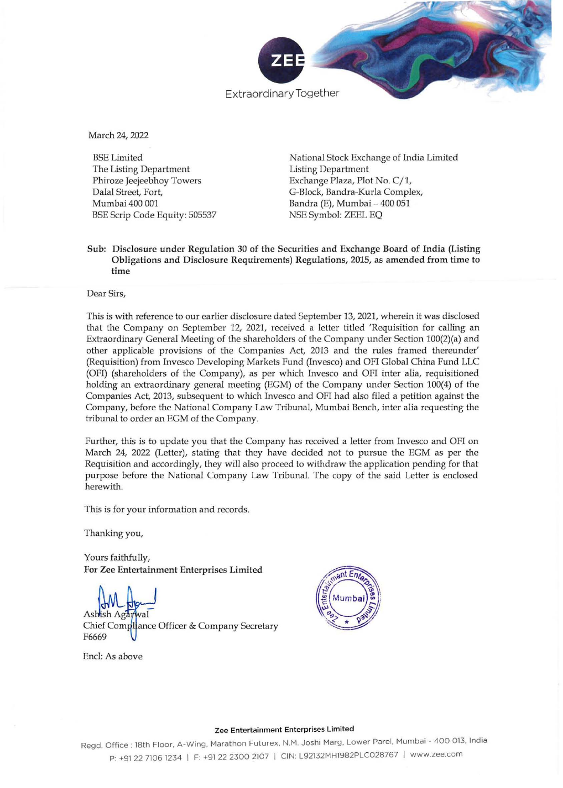

March 24, 2022

BSE Limited The Listing Department Phiroze Jeejeebhoy Towers Dalal Street, Fort, Mumbai 400 001 BSE Scrip Code Equity: 505537 National Stock Exchange of India Limited Listing Department Exchange Plaza, Plot No.  $C/1$ , G-Block, Bandra-Kurla Complex, Bandra (E), Mumbai - 400 051 NSE Symbol: ZEEL EQ

Sub: Disclosure under Regulation 30 of the Securities and Exchange Board of India (Listing Obligations and Disclosure Requirements) Regulations, 2015, as amended from time to **time** 

Dear Sirs,

This is with reference to our earlier disclosure dated September 13, 2021, wherein it was disclosed that the Company on September 12, 2021, received a letter titled 'Requisition for calling an Extraordinary General Meeting of the shareholders of the Company under Section 100(2)(a) and other applicable provisions of the Companies Act, 2013 and the rules framed thereunder' (Requisition) from Invcsco Developing Markets f und (lnvesco) and OF! Global China Fund LLC (OFI) (shareholders of the Company), as per which Invesco and OF! inter alia, requisitioned holding an extraordinary general meeting (EGM) of the Company under Section 100(4) of the Companies Act, 2013, subsequent to which Invesco and OFI had also filed a petition against the Company, before the National Company Law Tribunal, Mumbai Bench, inter alia requesting the tribunal to order an EGM of the Company.

Further, this is to update you that the Company has received a letter from Invesco and OFI on March 24, 2022 (Letter), stating that they have decided not to pursue the EGM as per the Requisition and accordingly, they will also proceed to withdraw the application pending for that purpose before the National Company Law Tribunal. The copy of the said Letter is enclosed **herewith.** 

**This is for your information and records.** 

Thanking you,

Yours faithfully, For Zee Entertainment Enterprises Limited

ANU Hound<br>Ashish Agarwal<br>Chief Compllance Officer & Company Secretary F6669

Encl: As above



## **Zee Entertainment Enterprises Limited**

**Regd. Office: 18th Floor, A-Wing, Marathon Futurex. N.M. Joshi Marg. Lower Parel. Mumbai - 400013. India**  P: +91 22 7106 1234 | F: +91 22 2300 2107 | CIN: L92132MH1982PLC028767 | www.zee.com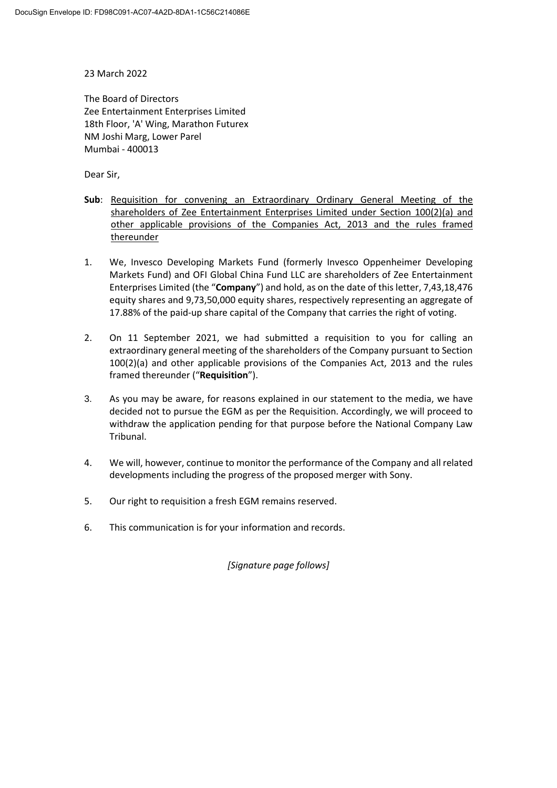## 23 March 2022

The Board of Directors Zee Entertainment Enterprises Limited 18th Floor, 'A' Wing, Marathon Futurex NM Joshi Marg, Lower Parel Mumbai - 400013

Dear Sir,

- **Sub:** Requisition for convening an Extraordinary Ordinary General Meeting of the shareholders of Zee Entertainment Enterprises Limited under Section 100(2)(a) and other applicable provisions of the Companies Act, 2013 and the rules framed thereunder
- 1. We, Invesco Developing Markets Fund (formerly Invesco Oppenheimer Developing Markets Fund) and OFI Global China Fund LLC are shareholders of Zee Entertainment Enterprises Limited (the "**Company**") and hold, as on the date of this letter, 7,43,18,476 equity shares and 9,73,50,000 equity shares, respectively representing an aggregate of 17.88% of the paid-up share capital of the Company that carries the right of voting.
- 2. On 11 September 2021, we had submitted a requisition to you for calling an extraordinary general meeting of the shareholders of the Company pursuant to Section 100(2)(a) and other applicable provisions of the Companies Act, 2013 and the rules framed thereunder ("**Requisition**").
- 3. As you may be aware, for reasons explained in our statement to the media, we have decided not to pursue the EGM as per the Requisition. Accordingly, we will proceed to withdraw the application pending for that purpose before the National Company Law Tribunal.
- 4. We will, however, continue to monitor the performance of the Company and all related developments including the progress of the proposed merger with Sony.
- 5. Our right to requisition a fresh EGM remains reserved.
- 6. This communication is for your information and records.

*[Signature page follows]*